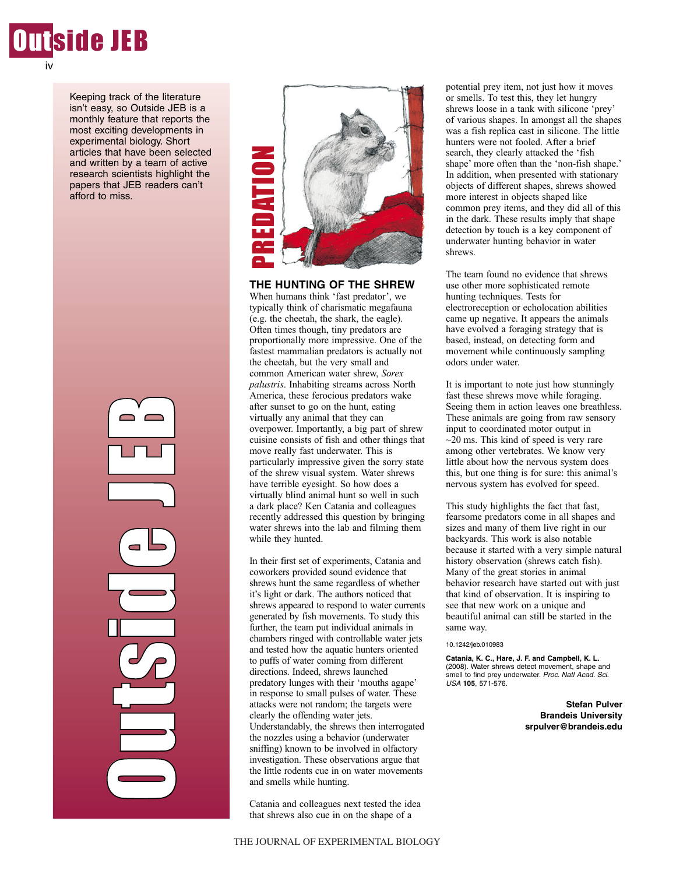

Keeping track of the literature isn't easy, so Outside JEB is a monthly feature that reports the most exciting developments in experimental biology. Short articles that have been selected and written by a team of active research scientists highlight the papers that JEB readers can't afford to miss.





**THE HUNTING OF THE SHREW** When humans think 'fast predator', we typically think of charismatic megafauna (e.g. the cheetah, the shark, the eagle). Often times though, tiny predators are proportionally more impressive. One of the fastest mammalian predators is actually not the cheetah, but the very small and common American water shrew, *Sorex palustris*. Inhabiting streams across North America, these ferocious predators wake after sunset to go on the hunt, eating virtually any animal that they can overpower. Importantly, a big part of shrew cuisine consists of fish and other things that move really fast underwater. This is particularly impressive given the sorry state of the shrew visual system. Water shrews have terrible eyesight. So how does a virtually blind animal hunt so well in such a dark place? Ken Catania and colleagues recently addressed this question by bringing water shrews into the lab and filming them while they hunted. THE HUNTING OF THE SHREW<br>
THE HUNTING OF THE SHREW<br>
When humans think "fast predator", we<br>
typically think of charismatic megataunation regation<br>
(e.g. the chectah, the shark, the cagle).<br>
Often times though, tiny predato

In their first set of experiments, Catania and coworkers provided sound evidence that shrews hunt the same regardless of whether it's light or dark. The authors noticed that shrews appeared to respond to water currents generated by fish movements. To study this further, the team put individual animals in chambers ringed with controllable water jets and tested how the aquatic hunters oriented to puffs of water coming from different directions. Indeed, shrews launched predatory lunges with their 'mouths agape' in response to small pulses of water. These attacks were not random; the targets were clearly the offending water jets. Understandably, the shrews then interrogated the nozzles using a behavior (underwater sniffing) known to be involved in olfactory investigation. These observations argue that the little rodents cue in on water movements and smells while hunting.

Catania and colleagues next tested the idea

potential prey item, not just how it moves or smells. To test this, they let hungry shrews loose in a tank with silicone 'prey' of various shapes. In amongst all the shapes was a fish replica cast in silicone. The little hunters were not fooled. After a brief search, they clearly attacked the 'fish shape' more often than the 'non-fish shape.' In addition, when presented with stationary objects of different shapes, shrews showed more interest in objects shaped like common prey items, and they did all of this in the dark. These results imply that shape detection by touch is a key component of underwater hunting behavior in water shrews.

The team found no evidence that shrews use other more sophisticated remote hunting techniques. Tests for electroreception or echolocation abilities came up negative. It appears the animals have evolved a foraging strategy that is based, instead, on detecting form and movement while continuously sampling odors under water.

It is important to note just how stunningly fast these shrews move while foraging. Seeing them in action leaves one breathless. These animals are going from raw sensory input to coordinated motor output in  $\sim$ 20 ms. This kind of speed is very rare among other vertebrates. We know very little about how the nervous system does this, but one thing is for sure: this animal's nervous system has evolved for speed.

This study highlights the fact that fast, fearsome predators come in all shapes and sizes and many of them live right in our backyards. This work is also notable because it started with a very simple natural history observation (shrews catch fish). Many of the great stories in animal behavior research have started out with just that kind of observation. It is inspiring to see that new work on a unique and beautiful animal can still be started in the same way.

### 10.1242/jeb.010983

**Catania, K. C., Hare, J. F. and Campbell, K. L.** (2008). Water shrews detect movement, shape and smell to find prey underwater. Proc. Natl Acad. Sci. USA **105**, 571-576.

> **Stefan Pulver Brandeis University srpulver@brandeis.edu**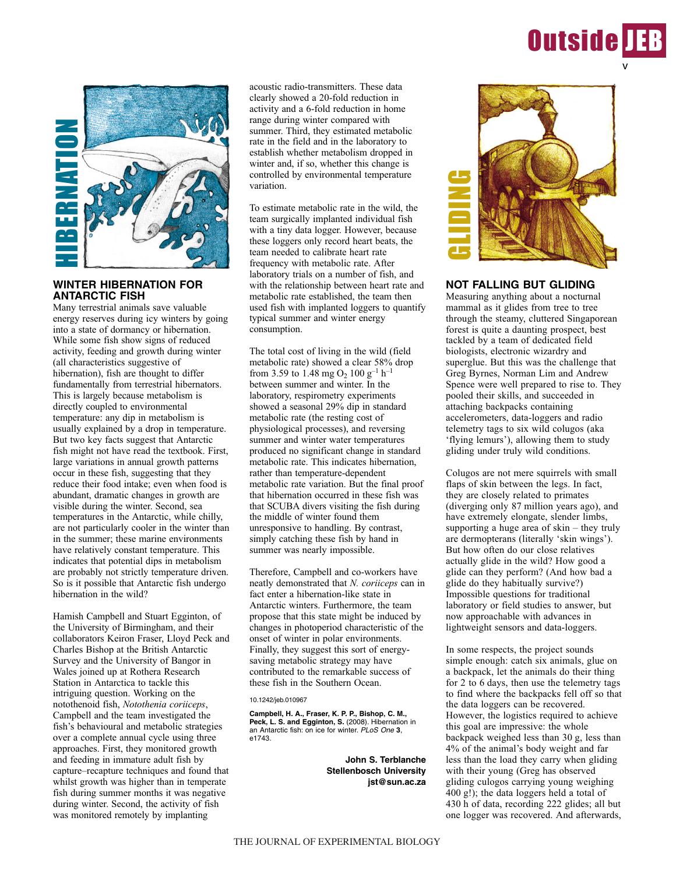



# **WINTER HIBERNATION FOR ANTARCTIC FISH**

Many terrestrial animals save valuable energy reserves during icy winters by going into a state of dormancy or hibernation. While some fish show signs of reduced activity, feeding and growth during winter (all characteristics suggestive of hibernation), fish are thought to differ fundamentally from terrestrial hibernators. This is largely because metabolism is directly coupled to environmental temperature: any dip in metabolism is usually explained by a drop in temperature. But two key facts suggest that Antarctic fish might not have read the textbook. First, large variations in annual growth patterns occur in these fish, suggesting that they reduce their food intake; even when food is abundant, dramatic changes in growth are visible during the winter. Second, sea temperatures in the Antarctic, while chilly, are not particularly cooler in the winter than in the summer; these marine environments have relatively constant temperature. This indicates that potential dips in metabolism are probably not strictly temperature driven. So is it possible that Antarctic fish undergo hibernation in the wild?

Hamish Campbell and Stuart Egginton, of the University of Birmingham, and their collaborators Keiron Fraser, Lloyd Peck and Charles Bishop at the British Antarctic Survey and the University of Bangor in Wales joined up at Rothera Research Station in Antarctica to tackle this intriguing question. Working on the notothenoid fish, *Notothenia coriiceps*, Campbell and the team investigated the fish's behavioural and metabolic strategies over a complete annual cycle using three approaches. First, they monitored growth and feeding in immature adult fish by capture–recapture techniques and found that whilst growth was higher than in temperate fish during summer months it was negative during winter. Second, the activity of fish was monitored remotely by implanting

acoustic radio-transmitters. These data clearly showed a 20-fold reduction in activity and a 6-fold reduction in home range during winter compared with summer. Third, they estimated metabolic rate in the field and in the laboratory to establish whether metabolism dropped in winter and, if so, whether this change is controlled by environmental temperature variation.

To estimate metabolic rate in the wild, the team surgically implanted individual fish with a tiny data logger. However, because these loggers only record heart beats, the team needed to calibrate heart rate frequency with metabolic rate. After laboratory trials on a number of fish, and with the relationship between heart rate and metabolic rate established, the team then used fish with implanted loggers to quantify typical summer and winter energy consumption.

The total cost of living in the wild (field metabolic rate) showed a clear 58% drop from 3.59 to 1.48 mg O<sub>2</sub> 100 g<sup>-1</sup> h<sup>-1</sup> between summer and winter. In the laboratory, respirometry experiments showed a seasonal 29% dip in standard metabolic rate (the resting cost of physiological processes), and reversing summer and winter water temperatures produced no significant change in standard metabolic rate. This indicates hibernation, rather than temperature-dependent metabolic rate variation. But the final proof that hibernation occurred in these fish was that SCUBA divers visiting the fish during the middle of winter found them unresponsive to handling. By contrast, simply catching these fish by hand in summer was nearly impossible.

Therefore, Campbell and co-workers have neatly demonstrated that *N. coriiceps* can in fact enter a hibernation-like state in Antarctic winters. Furthermore, the team propose that this state might be induced by changes in photoperiod characteristic of the onset of winter in polar environments. Finally, they suggest this sort of energysaving metabolic strategy may have contributed to the remarkable success of these fish in the Southern Ocean.

10.1242/jeb.010967

**Campbell, H. A., Fraser, K. P. P., Bishop, C. M.,** Peck, L. S. and Egginton, S. (2008). Hibernation in an Antarctic fish: on ice for winter. PLoS One **3**, e1743.

> **John S. Terblanche Stellenbosch University jst@sun.ac.za**



## **NOT FALLING BUT GLIDING**

Measuring anything about a nocturnal mammal as it glides from tree to tree through the steamy, cluttered Singaporean forest is quite a daunting prospect, best tackled by a team of dedicated field biologists, electronic wizardry and superglue. But this was the challenge that Greg Byrnes, Norman Lim and Andrew Spence were well prepared to rise to. They pooled their skills, and succeeded in attaching backpacks containing accelerometers, data-loggers and radio telemetry tags to six wild colugos (aka 'flying lemurs'), allowing them to study gliding under truly wild conditions.

Colugos are not mere squirrels with small flaps of skin between the legs. In fact, they are closely related to primates (diverging only 87 million years ago), and have extremely elongate, slender limbs, supporting a huge area of skin – they truly are dermopterans (literally 'skin wings'). But how often do our close relatives actually glide in the wild? How good a glide can they perform? (And how bad a glide do they habitually survive?) Impossible questions for traditional laboratory or field studies to answer, but now approachable with advances in lightweight sensors and data-loggers.

In some respects, the project sounds simple enough: catch six animals, glue on a backpack, let the animals do their thing for 2 to 6 days, then use the telemetry tags to find where the backpacks fell off so that the data loggers can be recovered. However, the logistics required to achieve this goal are impressive: the whole backpack weighed less than 30 g, less than 4% of the animal's body weight and far less than the load they carry when gliding with their young (Greg has observed gliding culogos carrying young weighing  $400$  g!); the data loggers held a total of 430 h of data, recording 222 glides; all but one logger was recovered. And afterwards,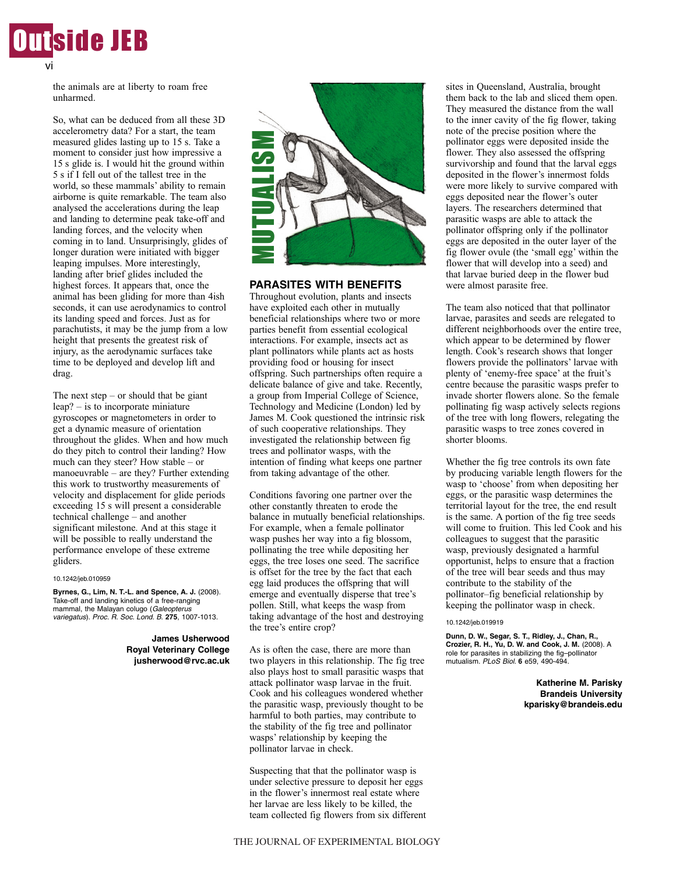

vi

the animals are at liberty to roam free unharmed.

So, what can be deduced from all these 3D accelerometry data? For a start, the team measured glides lasting up to 15 s. Take a moment to consider just how impressive a 15 s glide is. I would hit the ground within 5 s if I fell out of the tallest tree in the world, so these mammals' ability to remain airborne is quite remarkable. The team also analysed the accelerations during the leap and landing to determine peak take-off and landing forces, and the velocity when coming in to land. Unsurprisingly, glides of longer duration were initiated with bigger leaping impulses. More interestingly, landing after brief glides included the highest forces. It appears that, once the animal has been gliding for more than 4ish seconds, it can use aerodynamics to control its landing speed and forces. Just as for parachutists, it may be the jump from a low height that presents the greatest risk of injury, as the aerodynamic surfaces take time to be deployed and develop lift and drag.

The next step  $-$  or should that be giant leap? – is to incorporate miniature gyroscopes or magnetometers in order to get a dynamic measure of orientation throughout the glides. When and how much do they pitch to control their landing? How much can they steer? How stable – or manoeuvrable – are they? Further extending this work to trustworthy measurements of velocity and displacement for glide periods exceeding 15 s will present a considerable technical challenge – and another significant milestone. And at this stage it will be possible to really understand the performance envelope of these extreme gliders.

#### 10.1242/jeb.010959

**Byrnes, G., Lim, N. T.-L. and Spence, A. J.** (2008). Take-off and landing kinetics of a free-ranging mammal, the Malayan colugo (Galeopterus variegatus). Proc. R. Soc. Lond. B. **275**, 1007-1013.

> **James Usherwood Royal Veterinary College jusherwood@rvc.ac.uk**



### **PARASITES WITH BENEFITS**

Throughout evolution, plants and insects have exploited each other in mutually beneficial relationships where two or more parties benefit from essential ecological interactions. For example, insects act as plant pollinators while plants act as hosts providing food or housing for insect offspring. Such partnerships often require a delicate balance of give and take. Recently, a group from Imperial College of Science, Technology and Medicine (London) led by James M. Cook questioned the intrinsic risk of such cooperative relationships. They investigated the relationship between fig trees and pollinator wasps, with the intention of finding what keeps one partner from taking advantage of the other.

Conditions favoring one partner over the other constantly threaten to erode the balance in mutually beneficial relationships. For example, when a female pollinator wasp pushes her way into a fig blossom, pollinating the tree while depositing her eggs, the tree loses one seed. The sacrifice is offset for the tree by the fact that each egg laid produces the offspring that will emerge and eventually disperse that tree's pollen. Still, what keeps the wasp from taking advantage of the host and destroying the tree's entire crop?

As is often the case, there are more than two players in this relationship. The fig tree also plays host to small parasitic wasps that attack pollinator wasp larvae in the fruit. Cook and his colleagues wondered whether the parasitic wasp, previously thought to be harmful to both parties, may contribute to the stability of the fig tree and pollinator wasps' relationship by keeping the pollinator larvae in check.

Suspecting that that the pollinator wasp is under selective pressure to deposit her eggs in the flower's innermost real estate where her larvae are less likely to be killed, the team collected fig flowers from six different sites in Queensland, Australia, brought them back to the lab and sliced them open. They measured the distance from the wall to the inner cavity of the fig flower, taking note of the precise position where the pollinator eggs were deposited inside the flower. They also assessed the offspring survivorship and found that the larval eggs deposited in the flower's innermost folds were more likely to survive compared with eggs deposited near the flower's outer layers. The researchers determined that parasitic wasps are able to attack the pollinator offspring only if the pollinator eggs are deposited in the outer layer of the fig flower ovule (the 'small egg' within the flower that will develop into a seed) and that larvae buried deep in the flower bud were almost parasite free.

The team also noticed that that pollinator larvae, parasites and seeds are relegated to different neighborhoods over the entire tree, which appear to be determined by flower length. Cook's research shows that longer flowers provide the pollinators' larvae with plenty of 'enemy-free space' at the fruit's centre because the parasitic wasps prefer to invade shorter flowers alone. So the female pollinating fig wasp actively selects regions of the tree with long flowers, relegating the parasitic wasps to tree zones covered in shorter blooms.

Whether the fig tree controls its own fate by producing variable length flowers for the wasp to 'choose' from when depositing her eggs, or the parasitic wasp determines the territorial layout for the tree, the end result is the same. A portion of the fig tree seeds will come to fruition. This led Cook and his colleagues to suggest that the parasitic wasp, previously designated a harmful opportunist, helps to ensure that a fraction of the tree will bear seeds and thus may contribute to the stability of the pollinator–fig beneficial relationship by keeping the pollinator wasp in check.

#### 10.1242/jeb.019919

**Dunn, D. W., Segar, S. T., Ridley, J., Chan, R., Crozier, R. H., Yu, D. W. and Cook, J. M.** (2008). A role for parasites in stabilizing the fig–pollinator mutualism. PLoS Biol. **6** e59, 490-494.

> **Katherine M. Parisky Brandeis University kparisky@brandeis.edu**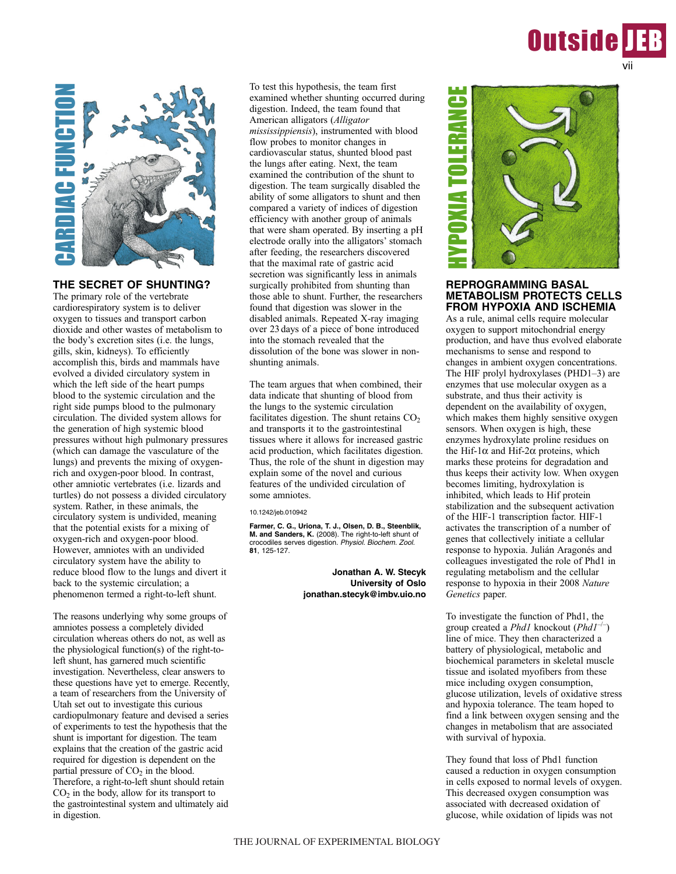



### **THE SECRET OF SHUNTING?**

The primary role of the vertebrate cardiorespiratory system is to deliver oxygen to tissues and transport carbon dioxide and other wastes of metabolism to the body's excretion sites (i.e. the lungs, gills, skin, kidneys). To efficiently accomplish this, birds and mammals have evolved a divided circulatory system in which the left side of the heart pumps blood to the systemic circulation and the right side pumps blood to the pulmonary circulation. The divided system allows for the generation of high systemic blood pressures without high pulmonary pressures (which can damage the vasculature of the lungs) and prevents the mixing of oxygenrich and oxygen-poor blood. In contrast, other amniotic vertebrates (i.e. lizards and turtles) do not possess a divided circulatory system. Rather, in these animals, the circulatory system is undivided, meaning that the potential exists for a mixing of oxygen-rich and oxygen-poor blood. However, amniotes with an undivided circulatory system have the ability to reduce blood flow to the lungs and divert it back to the systemic circulation; a phenomenon termed a right-to-left shunt. **Example 19**<br> **INTRE SEC**<br>
THE SEC The primary cardiorespire and the body's educated and the body's education.<br>
FUNCTION is also samplish evolved a did which the le blood to the right side put<br>
is equilation. The generatio

The reasons underlying why some groups of amniotes possess a completely divided circulation whereas others do not, as well as the physiological function(s) of the right-toleft shunt, has garnered much scientific investigation. Nevertheless, clear answers to these questions have yet to emerge. Recently, a team of researchers from the University of Utah set out to investigate this curious cardiopulmonary feature and devised a series of experiments to test the hypothesis that the shunt is important for digestion. The team explains that the creation of the gastric acid required for digestion is dependent on the partial pressure of  $CO<sub>2</sub>$  in the blood. Therefore, a right-to-left shunt should retain  $CO<sub>2</sub>$  in the body, allow for its transport to the gastrointestinal system and ultimately aid in digestion.

To test this hypothesis, the team first examined whether shunting occurred during digestion. Indeed, the team found that American alligators (*Alligator mississippiensis*), instrumented with blood flow probes to monitor changes in cardiovascular status, shunted blood past the lungs after eating. Next, the team examined the contribution of the shunt to digestion. The team surgically disabled the ability of some alligators to shunt and then compared a variety of indices of digestion efficiency with another group of animals that were sham operated. By inserting a pH electrode orally into the alligators' stomach after feeding, the researchers discovered that the maximal rate of gastric acid secretion was significantly less in animals surgically prohibited from shunting than those able to shunt. Further, the researchers found that digestion was slower in the disabled animals. Repeated X-ray imaging over 23days of a piece of bone introduced into the stomach revealed that the dissolution of the bone was slower in nonshunting animals.

The team argues that when combined, their data indicate that shunting of blood from the lungs to the systemic circulation facilitates digestion. The shunt retains  $CO<sub>2</sub>$ and transports it to the gastrointestinal tissues where it allows for increased gastric acid production, which facilitates digestion. Thus, the role of the shunt in digestion may explain some of the novel and curious features of the undivided circulation of some amniotes.

#### 10.1242/jeb.010942

**Farmer, C. G., Uriona, T. J., Olsen, D. B., Steenblik, M. and Sanders, K.** (2008). The right-to-left shunt of<br>crocodiles serves digestion. *Physiol. Biochem. Zool.* **81**, 125-127.

> **Jonathan A. W. Stecyk University of Oslo jonathan.stecyk@imbv.uio.no**



### **REPROGRAMMING BASAL METABOLISM PROTECTS CELLS FROM HYPOXIA AND ISCHEMIA**

As a rule, animal cells require molecular oxygen to support mitochondrial energy production, and have thus evolved elaborate mechanisms to sense and respond to changes in ambient oxygen concentrations. The HIF prolyl hydroxylases (PHD1–3) are enzymes that use molecular oxygen as a substrate, and thus their activity is dependent on the availability of oxygen, which makes them highly sensitive oxygen sensors. When oxygen is high, these enzymes hydroxylate proline residues on the Hif-1α and Hif-2α proteins, which marks these proteins for degradation and thus keeps their activity low. When oxygen becomes limiting, hydroxylation is inhibited, which leads to Hif protein stabilization and the subsequent activation of the HIF-1 transcription factor. HIF-1 activates the transcription of a number of genes that collectively initiate a cellular response to hypoxia. Julián Aragonés and colleagues investigated the role of Phd1 in regulating metabolism and the cellular response to hypoxia in their 2008 *Nature Genetics* paper.

To investigate the function of Phd1, the group created a *Phd1* knockout (*Phd1*–/–) line of mice. They then characterized a battery of physiological, metabolic and biochemical parameters in skeletal muscle tissue and isolated myofibers from these mice including oxygen consumption, glucose utilization, levels of oxidative stress and hypoxia tolerance. The team hoped to find a link between oxygen sensing and the changes in metabolism that are associated with survival of hypoxia.

They found that loss of Phd1 function caused a reduction in oxygen consumption in cells exposed to normal levels of oxygen. This decreased oxygen consumption was associated with decreased oxidation of glucose, while oxidation of lipids was not